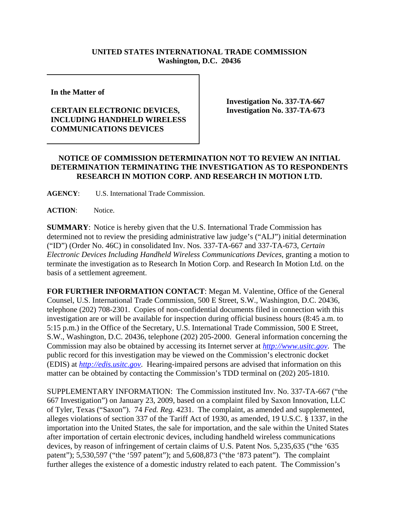## **UNITED STATES INTERNATIONAL TRADE COMMISSION Washington, D.C. 20436**

**In the Matter of** 

## **CERTAIN ELECTRONIC DEVICES, INCLUDING HANDHELD WIRELESS COMMUNICATIONS DEVICES**

**Investigation No. 337-TA-667 Investigation No. 337-TA-673**

## **NOTICE OF COMMISSION DETERMINATION NOT TO REVIEW AN INITIAL DETERMINATION TERMINATING THE INVESTIGATION AS TO RESPONDENTS RESEARCH IN MOTION CORP. AND RESEARCH IN MOTION LTD.**

**AGENCY**: U.S. International Trade Commission.

**ACTION**: Notice.

**SUMMARY**: Notice is hereby given that the U.S. International Trade Commission has determined not to review the presiding administrative law judge's ("ALJ") initial determination ("ID") (Order No. 46C) in consolidated Inv. Nos. 337-TA-667 and 337-TA-673, *Certain Electronic Devices Including Handheld Wireless Communications Devices*, granting a motion to terminate the investigation as to Research In Motion Corp. and Research In Motion Ltd. on the basis of a settlement agreement.

**FOR FURTHER INFORMATION CONTACT**: Megan M. Valentine, Office of the General Counsel, U.S. International Trade Commission, 500 E Street, S.W., Washington, D.C. 20436, telephone (202) 708-2301. Copies of non-confidential documents filed in connection with this investigation are or will be available for inspection during official business hours (8:45 a.m. to 5:15 p.m.) in the Office of the Secretary, U.S. International Trade Commission, 500 E Street, S.W., Washington, D.C. 20436, telephone (202) 205-2000. General information concerning the Commission may also be obtained by accessing its Internet server at *http://www.usitc.gov*. The public record for this investigation may be viewed on the Commission's electronic docket (EDIS) at *http://edis.usitc.gov*. Hearing-impaired persons are advised that information on this matter can be obtained by contacting the Commission's TDD terminal on (202) 205-1810.

SUPPLEMENTARY INFORMATION: The Commission instituted Inv. No. 337-TA-667 ("the 667 Investigation") on January 23, 2009, based on a complaint filed by Saxon Innovation, LLC of Tyler, Texas ("Saxon"). 74 *Fed. Reg.* 4231. The complaint, as amended and supplemented, alleges violations of section 337 of the Tariff Act of 1930, as amended, 19 U.S.C. § 1337, in the importation into the United States, the sale for importation, and the sale within the United States after importation of certain electronic devices, including handheld wireless communications devices, by reason of infringement of certain claims of U.S. Patent Nos. 5,235,635 ("the '635 patent"); 5,530,597 ("the '597 patent"); and 5,608,873 ("the '873 patent"). The complaint further alleges the existence of a domestic industry related to each patent. The Commission's